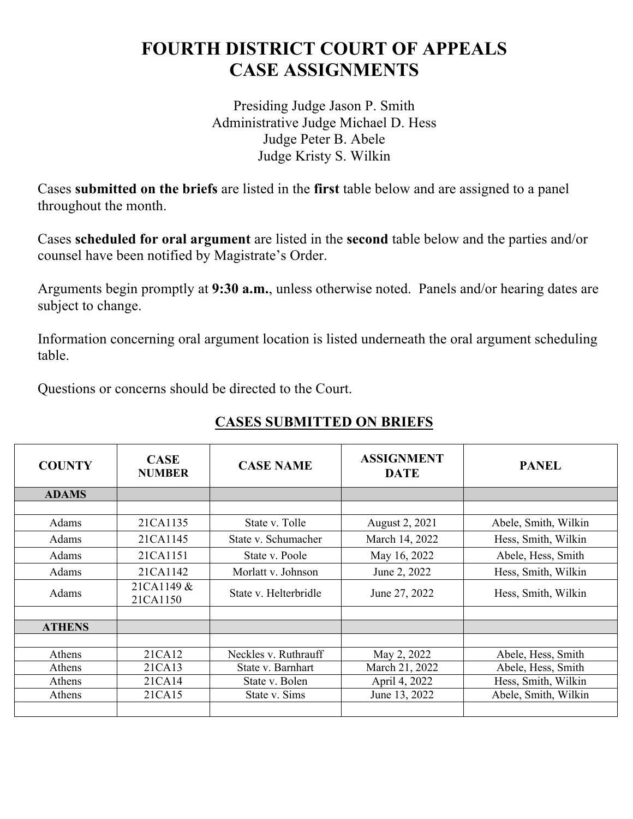## **FOURTH DISTRICT COURT OF APPEALS CASE ASSIGNMENTS**

Presiding Judge Jason P. Smith Administrative Judge Michael D. Hess Judge Peter B. Abele Judge Kristy S. Wilkin

Cases **submitted on the briefs** are listed in the **first** table below and are assigned to a panel throughout the month.

Cases **scheduled for oral argument** are listed in the **second** table below and the parties and/or counsel have been notified by Magistrate's Order.

Arguments begin promptly at **9:30 a.m.**, unless otherwise noted. Panels and/or hearing dates are subject to change.

Information concerning oral argument location is listed underneath the oral argument scheduling table.

Questions or concerns should be directed to the Court.

## **CASES SUBMITTED ON BRIEFS**

| <b>COUNTY</b> | <b>CASE</b><br><b>NUMBER</b> | <b>CASE NAME</b>      | <b>ASSIGNMENT</b><br><b>DATE</b> | <b>PANEL</b>         |
|---------------|------------------------------|-----------------------|----------------------------------|----------------------|
| <b>ADAMS</b>  |                              |                       |                                  |                      |
|               |                              |                       |                                  |                      |
| Adams         | 21CA1135                     | State v. Tolle        | August 2, 2021                   | Abele, Smith, Wilkin |
| Adams         | 21CA1145                     | State v. Schumacher   | March 14, 2022                   | Hess, Smith, Wilkin  |
| Adams         | 21CA1151                     | State v. Poole        | May 16, 2022                     | Abele, Hess, Smith   |
| Adams         | 21CA1142                     | Morlatt v. Johnson    | June 2, 2022                     | Hess, Smith, Wilkin  |
| Adams         | 21CA1149 &<br>21CA1150       | State v. Helterbridle | June 27, 2022                    | Hess, Smith, Wilkin  |
|               |                              |                       |                                  |                      |
| <b>ATHENS</b> |                              |                       |                                  |                      |
|               |                              |                       |                                  |                      |
| Athens        | 21CA12                       | Neckles v. Ruthrauff  | May 2, 2022                      | Abele, Hess, Smith   |
| Athens        | 21CA13                       | State v. Barnhart     | March 21, 2022                   | Abele, Hess, Smith   |
| Athens        | 21CA14                       | State v. Bolen        | April 4, 2022                    | Hess, Smith, Wilkin  |
| Athens        | 21CA15                       | State v. Sims         | June 13, 2022                    | Abele, Smith, Wilkin |
|               |                              |                       |                                  |                      |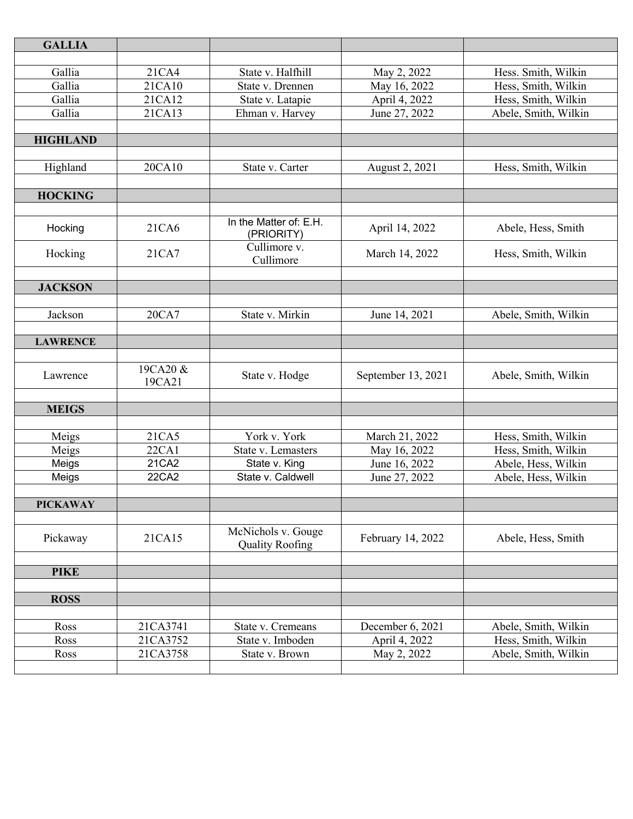| <b>GALLIA</b>   |                |                                    |                    |                      |
|-----------------|----------------|------------------------------------|--------------------|----------------------|
|                 |                |                                    |                    |                      |
| Gallia          | 21CA4          | State v. Halfhill                  | May 2, 2022        | Hess. Smith, Wilkin  |
| Gallia          | 21CA10         | State v. Drennen                   | May 16, 2022       | Hess, Smith, Wilkin  |
| Gallia          | 21CA12         | State v. Latapie                   | April 4, 2022      | Hess, Smith, Wilkin  |
| Gallia          | 21CA13         | Ehman v. Harvey                    | June 27, 2022      | Abele, Smith, Wilkin |
|                 |                |                                    |                    |                      |
| <b>HIGHLAND</b> |                |                                    |                    |                      |
|                 |                |                                    |                    |                      |
| Highland        | 20CA10         | State v. Carter                    | August 2, 2021     | Hess, Smith, Wilkin  |
|                 |                |                                    |                    |                      |
| <b>HOCKING</b>  |                |                                    |                    |                      |
|                 |                | In the Matter of: E.H.             |                    |                      |
| Hocking         | 21CA6          | (PRIORITY)                         | April 14, 2022     | Abele, Hess, Smith   |
|                 |                | Cullimore v.                       |                    |                      |
| Hocking         | 21CA7          | Cullimore                          | March 14, 2022     | Hess, Smith, Wilkin  |
|                 |                |                                    |                    |                      |
| <b>JACKSON</b>  |                |                                    |                    |                      |
|                 |                |                                    |                    |                      |
| Jackson         | 20CA7          | State v. Mirkin                    | June 14, 2021      | Abele, Smith, Wilkin |
|                 |                |                                    |                    |                      |
| <b>LAWRENCE</b> |                |                                    |                    |                      |
| Lawrence        | 19CA20 &       | State v. Hodge                     | September 13, 2021 | Abele, Smith, Wilkin |
|                 | 19CA21         |                                    |                    |                      |
|                 |                |                                    |                    |                      |
| <b>MEIGS</b>    |                |                                    |                    |                      |
|                 |                |                                    |                    |                      |
| Meigs           | 21CA5          | York v. York                       | March 21, 2022     | Hess, Smith, Wilkin  |
| Meigs           | 22CA1<br>21CA2 | State v. Lemasters                 | May 16, 2022       | Hess, Smith, Wilkin  |
| Meigs           | 22CA2          | State v. King<br>State v. Caldwell | June 16, 2022      | Abele, Hess, Wilkin  |
| Meigs           |                |                                    | June 27, 2022      | Abele, Hess, Wilkin  |
| <b>PICKAWAY</b> |                |                                    |                    |                      |
|                 |                |                                    |                    |                      |
|                 |                | McNichols v. Gouge                 |                    |                      |
| Pickaway        | 21CA15         | <b>Quality Roofing</b>             | February 14, 2022  | Abele, Hess, Smith   |
|                 |                |                                    |                    |                      |
| <b>PIKE</b>     |                |                                    |                    |                      |
|                 |                |                                    |                    |                      |
| <b>ROSS</b>     |                |                                    |                    |                      |
|                 |                |                                    |                    |                      |
| Ross            | 21CA3741       | State v. Cremeans                  | December 6, 2021   | Abele, Smith, Wilkin |
| Ross            | 21CA3752       | State v. Imboden                   | April 4, 2022      | Hess, Smith, Wilkin  |
| Ross            | 21CA3758       | State v. Brown                     | May 2, 2022        | Abele, Smith, Wilkin |
|                 |                |                                    |                    |                      |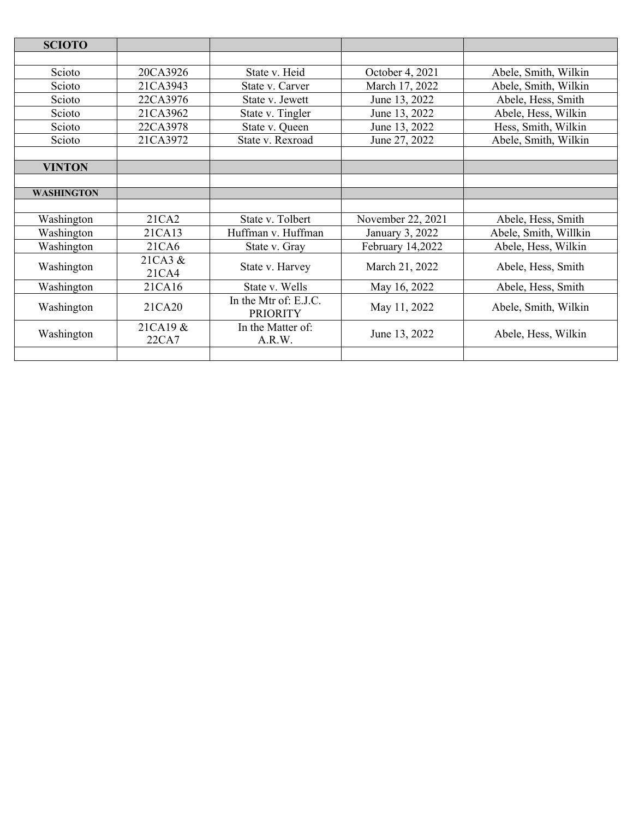| <b>SCIOTO</b>     |             |                                          |                   |                       |  |
|-------------------|-------------|------------------------------------------|-------------------|-----------------------|--|
|                   |             |                                          |                   |                       |  |
| Scioto            | 20CA3926    | State v. Heid                            | October 4, 2021   | Abele, Smith, Wilkin  |  |
| Scioto            | 21CA3943    | State v. Carver                          | March 17, 2022    | Abele, Smith, Wilkin  |  |
| Scioto            | 22CA3976    | State v. Jewett                          | June 13, 2022     | Abele, Hess, Smith    |  |
| Scioto            | 21CA3962    | State v. Tingler                         | June 13, 2022     | Abele, Hess, Wilkin   |  |
| Scioto            | 22CA3978    | State v. Queen                           | June 13, 2022     | Hess, Smith, Wilkin   |  |
| Scioto            | 21CA3972    | State v. Rexroad                         | June 27, 2022     | Abele, Smith, Wilkin  |  |
|                   |             |                                          |                   |                       |  |
| <b>VINTON</b>     |             |                                          |                   |                       |  |
|                   |             |                                          |                   |                       |  |
| <b>WASHINGTON</b> |             |                                          |                   |                       |  |
|                   |             |                                          |                   |                       |  |
| Washington        | 21CA2       | State v. Tolbert                         | November 22, 2021 | Abele, Hess, Smith    |  |
| Washington        | 21CA13      | Huffman v. Huffman                       | January 3, 2022   | Abele, Smith, Willkin |  |
| Washington        | 21CA6       | State v. Gray                            | February 14,2022  | Abele, Hess, Wilkin   |  |
| Washington        | $21CA3 \&$  | State v. Harvey                          | March 21, 2022    | Abele, Hess, Smith    |  |
|                   | 21CA4       |                                          |                   |                       |  |
| Washington        | 21CA16      | State v. Wells                           | May 16, 2022      | Abele, Hess, Smith    |  |
| Washington        | 21CA20      | In the Mtr of: E.J.C.<br><b>PRIORITY</b> | May 11, 2022      | Abele, Smith, Wilkin  |  |
|                   |             |                                          |                   |                       |  |
| Washington        | $21CA19 \&$ | In the Matter of:                        | June 13, 2022     | Abele, Hess, Wilkin   |  |
|                   | 22CA7       | A.R.W.                                   |                   |                       |  |
|                   |             |                                          |                   |                       |  |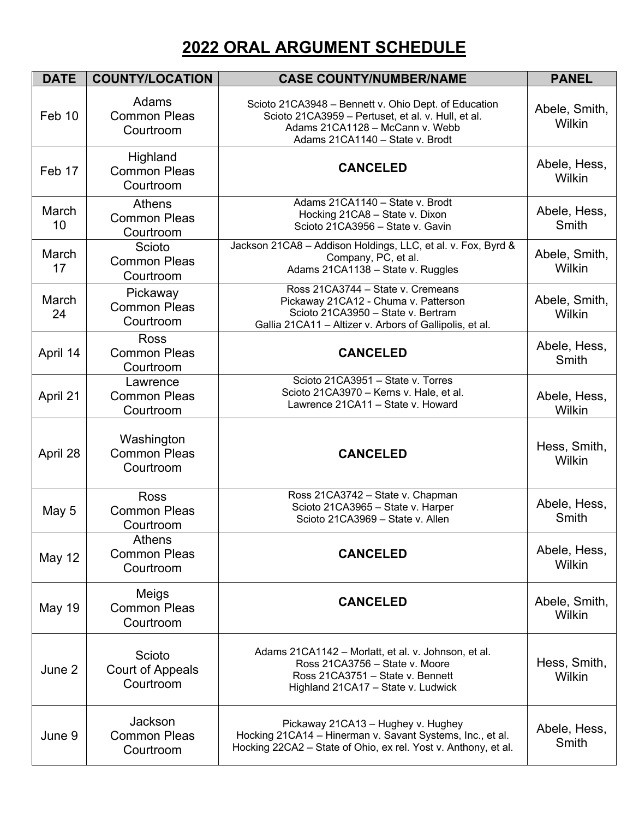## **2022 ORAL ARGUMENT SCHEDULE**

| <b>DATE</b>   | <b>COUNTY/LOCATION</b>                             | <b>CASE COUNTY/NUMBER/NAME</b>                                                                                                                                                   | <b>PANEL</b>            |
|---------------|----------------------------------------------------|----------------------------------------------------------------------------------------------------------------------------------------------------------------------------------|-------------------------|
| Feb 10        | Adams<br><b>Common Pleas</b><br>Courtroom          | Scioto 21CA3948 - Bennett v. Ohio Dept. of Education<br>Scioto 21CA3959 - Pertuset, et al. v. Hull, et al.<br>Adams 21CA1128 - McCann v. Webb<br>Adams 21CA1140 - State v. Brodt | Abele, Smith,<br>Wilkin |
| Feb 17        | Highland<br><b>Common Pleas</b><br>Courtroom       | <b>CANCELED</b>                                                                                                                                                                  | Abele, Hess,<br>Wilkin  |
| March<br>10   | <b>Athens</b><br><b>Common Pleas</b><br>Courtroom  | Adams 21CA1140 - State v. Brodt<br>Hocking 21CA8 - State v. Dixon<br>Scioto 21CA3956 - State v. Gavin                                                                            | Abele, Hess,<br>Smith   |
| March<br>17   | Scioto<br><b>Common Pleas</b><br>Courtroom         | Jackson 21CA8 - Addison Holdings, LLC, et al. v. Fox, Byrd &<br>Company, PC, et al.<br>Adams 21CA1138 - State v. Ruggles                                                         | Abele, Smith,<br>Wilkin |
| March<br>24   | Pickaway<br><b>Common Pleas</b><br>Courtroom       | Ross 21CA3744 - State v. Cremeans<br>Pickaway 21CA12 - Chuma v. Patterson<br>Scioto 21CA3950 - State v. Bertram<br>Gallia 21CA11 - Altizer v. Arbors of Gallipolis, et al.       | Abele, Smith,<br>Wilkin |
| April 14      | <b>Ross</b><br><b>Common Pleas</b><br>Courtroom    | <b>CANCELED</b>                                                                                                                                                                  | Abele, Hess,<br>Smith   |
| April 21      | Lawrence<br><b>Common Pleas</b><br>Courtroom       | Scioto 21CA3951 - State v. Torres<br>Scioto 21CA3970 - Kerns v. Hale, et al.<br>Lawrence 21CA11 - State v. Howard                                                                | Abele, Hess,<br>Wilkin  |
| April 28      | Washington<br><b>Common Pleas</b><br>Courtroom     | <b>CANCELED</b>                                                                                                                                                                  | Hess, Smith,<br>Wilkin  |
| May 5         | <b>Ross</b><br><b>Common Pleas</b><br>Courtroom    | Ross 21CA3742 - State v. Chapman<br>Scioto 21CA3965 - State v. Harper<br>Scioto 21CA3969 - State v. Allen                                                                        | Abele, Hess,<br>Smith   |
| <b>May 12</b> | <b>Athens</b><br><b>Common Pleas</b><br>Courtroom  | <b>CANCELED</b>                                                                                                                                                                  | Abele, Hess,<br>Wilkin  |
| <b>May 19</b> | Meigs<br><b>Common Pleas</b><br>Courtroom          | <b>CANCELED</b>                                                                                                                                                                  | Abele, Smith,<br>Wilkin |
| June 2        | Scioto<br>Court of Appeals<br>Courtroom            | Adams 21CA1142 - Morlatt, et al. v. Johnson, et al.<br>Ross 21CA3756 - State v. Moore<br>Ross 21CA3751 - State v. Bennett<br>Highland 21CA17 - State v. Ludwick                  | Hess, Smith,<br>Wilkin  |
| June 9        | <b>Jackson</b><br><b>Common Pleas</b><br>Courtroom | Pickaway 21CA13 - Hughey v. Hughey<br>Hocking 21CA14 - Hinerman v. Savant Systems, Inc., et al.<br>Hocking 22CA2 – State of Ohio, ex rel. Yost v. Anthony, et al.                | Abele, Hess,<br>Smith   |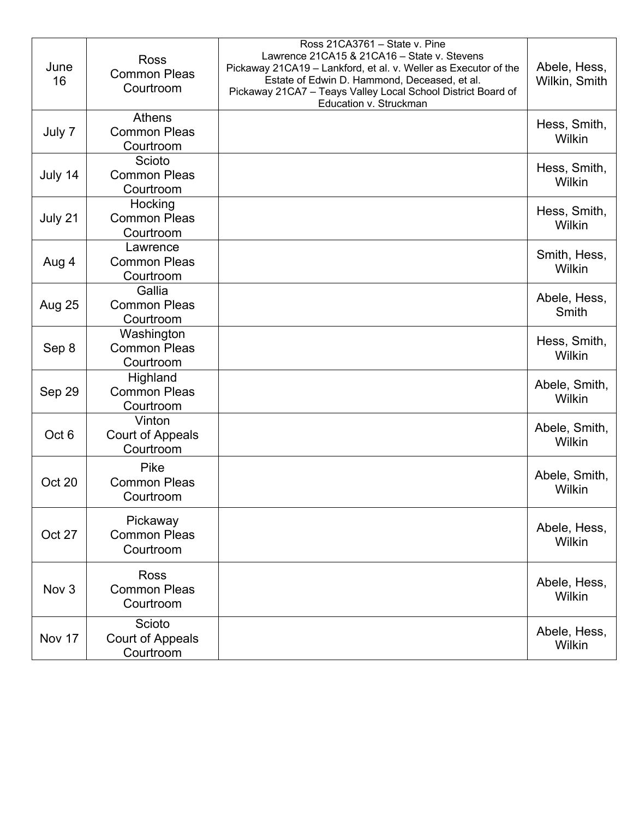| June<br>16       | <b>Ross</b><br><b>Common Pleas</b><br>Courtroom   | Ross 21CA3761 - State v. Pine<br>Lawrence 21CA15 & 21CA16 - State v. Stevens<br>Pickaway 21CA19 - Lankford, et al. v. Weller as Executor of the<br>Estate of Edwin D. Hammond, Deceased, et al.<br>Pickaway 21CA7 - Teays Valley Local School District Board of<br>Education v. Struckman | Abele, Hess,<br>Wilkin, Smith |
|------------------|---------------------------------------------------|-------------------------------------------------------------------------------------------------------------------------------------------------------------------------------------------------------------------------------------------------------------------------------------------|-------------------------------|
| July 7           | <b>Athens</b><br><b>Common Pleas</b><br>Courtroom |                                                                                                                                                                                                                                                                                           | Hess, Smith,<br>Wilkin        |
| July 14          | Scioto<br><b>Common Pleas</b><br>Courtroom        |                                                                                                                                                                                                                                                                                           | Hess, Smith,<br>Wilkin        |
| July 21          | Hocking<br><b>Common Pleas</b><br>Courtroom       |                                                                                                                                                                                                                                                                                           | Hess, Smith,<br>Wilkin        |
| Aug 4            | Lawrence<br><b>Common Pleas</b><br>Courtroom      |                                                                                                                                                                                                                                                                                           | Smith, Hess,<br>Wilkin        |
| Aug 25           | Gallia<br><b>Common Pleas</b><br>Courtroom        |                                                                                                                                                                                                                                                                                           | Abele, Hess,<br>Smith         |
| Sep 8            | Washington<br><b>Common Pleas</b><br>Courtroom    |                                                                                                                                                                                                                                                                                           | Hess, Smith,<br>Wilkin        |
| Sep 29           | Highland<br><b>Common Pleas</b><br>Courtroom      |                                                                                                                                                                                                                                                                                           | Abele, Smith,<br>Wilkin       |
| Oct <sub>6</sub> | Vinton<br>Court of Appeals<br>Courtroom           |                                                                                                                                                                                                                                                                                           | Abele, Smith,<br>Wilkin       |
| Oct 20           | <b>Pike</b><br><b>Common Pleas</b><br>Courtroom   |                                                                                                                                                                                                                                                                                           | Abele, Smith,<br>Wilkin       |
| Oct 27           | Pickaway<br><b>Common Pleas</b><br>Courtroom      |                                                                                                                                                                                                                                                                                           | Abele, Hess,<br>Wilkin        |
| Nov <sub>3</sub> | <b>Ross</b><br><b>Common Pleas</b><br>Courtroom   |                                                                                                                                                                                                                                                                                           | Abele, Hess,<br>Wilkin        |
| Nov 17           | Scioto<br><b>Court of Appeals</b><br>Courtroom    |                                                                                                                                                                                                                                                                                           | Abele, Hess,<br>Wilkin        |